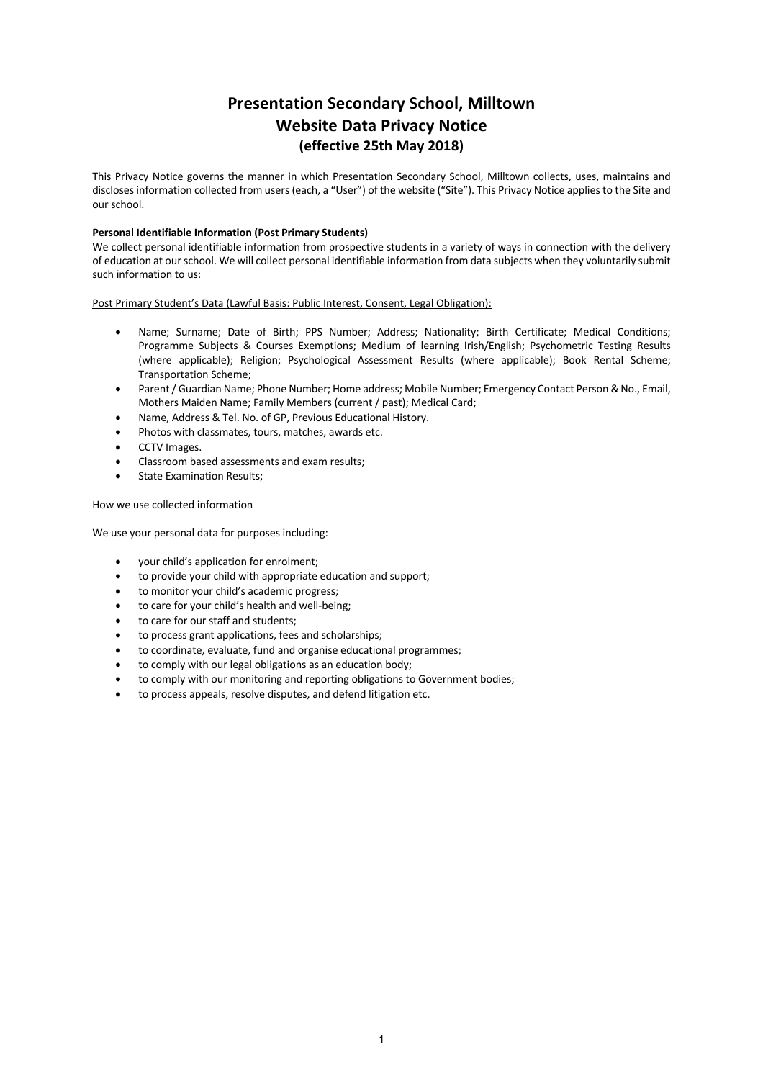# **Presentation Secondary School, Milltown Website Data Privacy Notice (effective 25th May 2018)**

This Privacy Notice governs the manner in which Presentation Secondary School, Milltown collects, uses, maintains and discloses information collected from users (each, a "User") of the website ("Site"). This Privacy Notice applies to the Site and our school.

## **Personal Identifiable Information (Post Primary Students)**

We collect personal identifiable information from prospective students in a variety of ways in connection with the delivery of education at our school. We will collect personal identifiable information from data subjects when they voluntarily submit such information to us:

Post Primary Student's Data (Lawful Basis: Public Interest, Consent, Legal Obligation):

- Name; Surname; Date of Birth; PPS Number; Address; Nationality; Birth Certificate; Medical Conditions; Programme Subjects & Courses Exemptions; Medium of learning Irish/English; Psychometric Testing Results (where applicable); Religion; Psychological Assessment Results (where applicable); Book Rental Scheme; Transportation Scheme;
- Parent / Guardian Name; Phone Number; Home address; Mobile Number; Emergency Contact Person & No., Email, Mothers Maiden Name; Family Members (current / past); Medical Card;
- Name, Address & Tel. No. of GP, Previous Educational History.
- Photos with classmates, tours, matches, awards etc.
- CCTV Images.
- Classroom based assessments and exam results;
- State Examination Results;

## How we use collected information

We use your personal data for purposes including:

- your child's application for enrolment;
- to provide your child with appropriate education and support;
- to monitor your child's academic progress:
- to care for your child's health and well-being;
- to care for our staff and students;
- to process grant applications, fees and scholarships;
- to coordinate, evaluate, fund and organise educational programmes;
- to comply with our legal obligations as an education body;
- to comply with our monitoring and reporting obligations to Government bodies;
- to process appeals, resolve disputes, and defend litigation etc.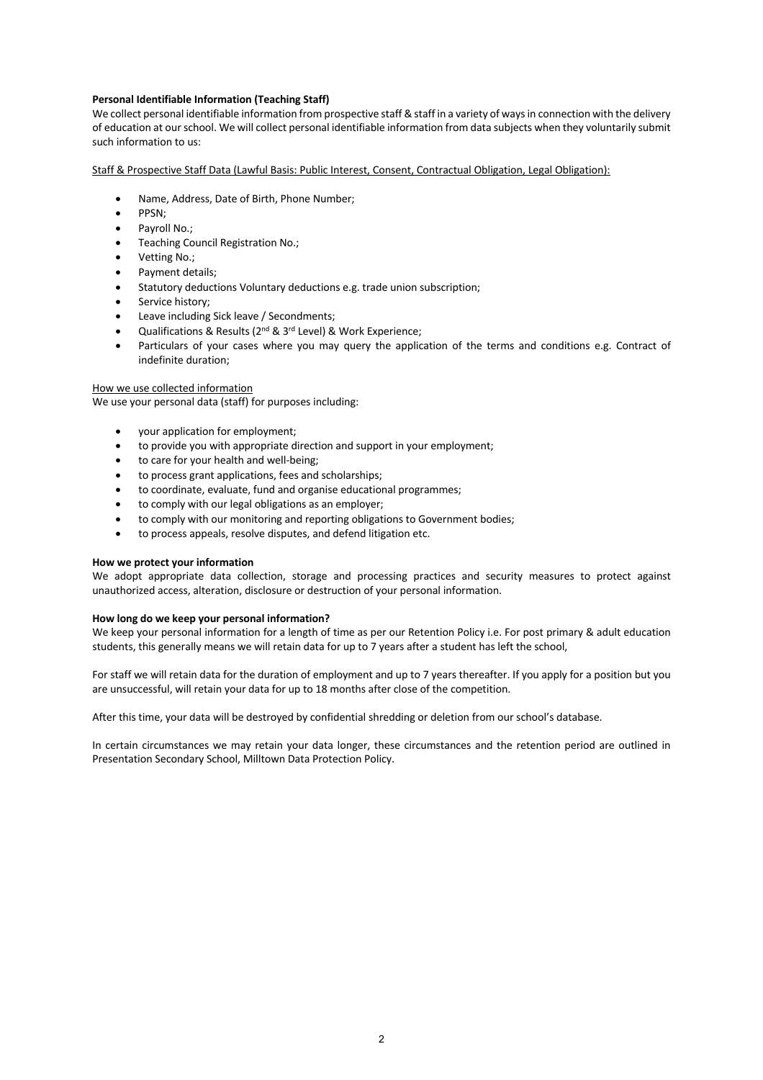# **Personal Identifiable Information (Teaching Staff)**

We collect personal identifiable information from prospective staff & staff in a variety of ways in connection with the delivery of education at our school. We will collect personal identifiable information from data subjects when they voluntarily submit such information to us:

Staff & Prospective Staff Data (Lawful Basis: Public Interest, Consent, Contractual Obligation, Legal Obligation):

- Name, Address, Date of Birth, Phone Number;
- PPSN;
- Pavroll No.:
- Teaching Council Registration No.;
- Vetting No.;
- Payment details;
- Statutory deductions Voluntary deductions e.g. trade union subscription;
- Service history;
- Leave including Sick leave / Secondments;
- Qualifications & Results (2nd & 3rd Level) & Work Experience;
- Particulars of your cases where you may query the application of the terms and conditions e.g. Contract of indefinite duration;

## How we use collected information

We use your personal data (staff) for purposes including:

- your application for employment;
- to provide you with appropriate direction and support in your employment;
- to care for your health and well-being;
- to process grant applications, fees and scholarships;
- to coordinate, evaluate, fund and organise educational programmes;
- to comply with our legal obligations as an employer;
- to comply with our monitoring and reporting obligations to Government bodies;
- to process appeals, resolve disputes, and defend litigation etc.

## **How we protect your information**

We adopt appropriate data collection, storage and processing practices and security measures to protect against unauthorized access, alteration, disclosure or destruction of your personal information.

## **How long do we keep your personal information?**

We keep your personal information for a length of time as per our Retention Policy i.e. For post primary & adult education students, this generally means we will retain data for up to 7 years after a student has left the school,

For staff we will retain data for the duration of employment and up to 7 years thereafter. If you apply for a position but you are unsuccessful, will retain your data for up to 18 months after close of the competition.

After this time, your data will be destroyed by confidential shredding or deletion from our school's database.

In certain circumstances we may retain your data longer, these circumstances and the retention period are outlined in Presentation Secondary School, Milltown Data Protection Policy.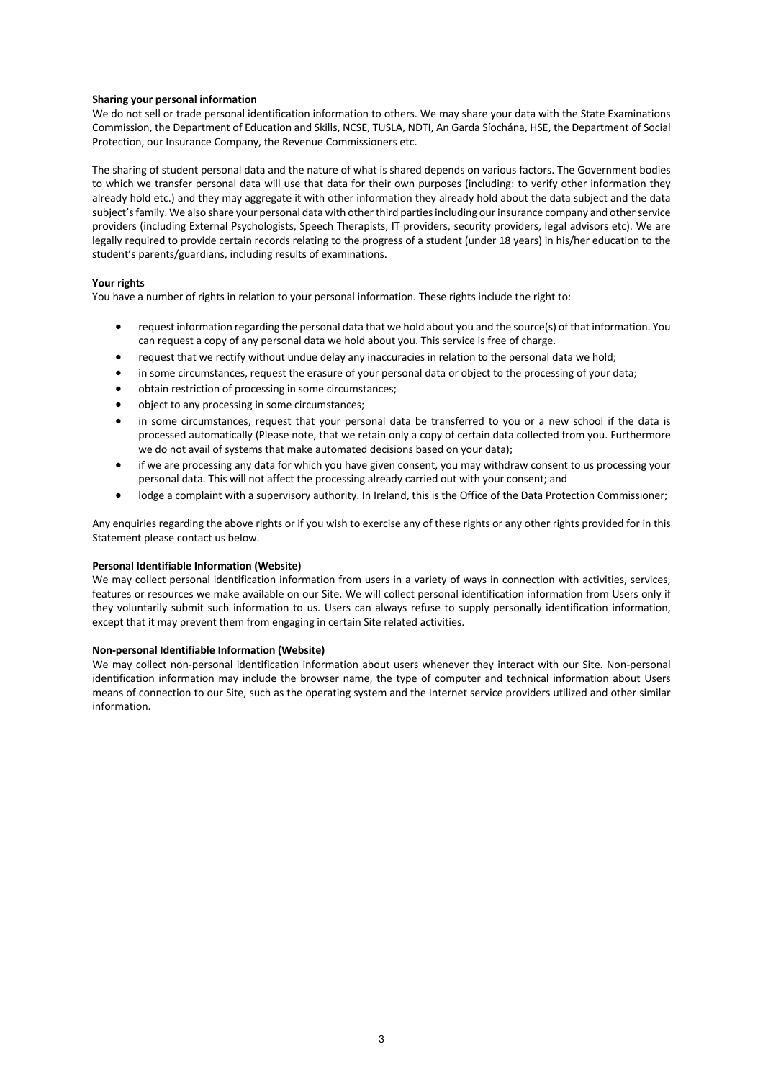## **Sharing your personal information**

We do not sell or trade personal identification information to others. We may share your data with the State Examinations Commission, the Department of Education and Skills, NCSE, TUSLA, NDTI, An Garda Síochána, HSE, the Department of Social Protection, our Insurance Company, the Revenue Commissioners etc.

The sharing of student personal data and the nature of what is shared depends on various factors. The Government bodies to which we transfer personal data will use that data for their own purposes (including: to verify other information they already hold etc.) and they may aggregate it with other information they already hold about the data subject and the data subject'sfamily. We also share your personal data with other third parties including our insurance company and other service providers (including External Psychologists, Speech Therapists, IT providers, security providers, legal advisors etc). We are legally required to provide certain records relating to the progress of a student (under 18 years) in his/her education to the student's parents/guardians, including results of examinations.

## **Your rights**

You have a number of rights in relation to your personal information. These rights include the right to:

- request information regarding the personal data that we hold about you and the source(s) of that information. You can request a copy of any personal data we hold about you. This service is free of charge.
- request that we rectify without undue delay any inaccuracies in relation to the personal data we hold;
- in some circumstances, request the erasure of your personal data or object to the processing of your data;
- obtain restriction of processing in some circumstances;
- object to any processing in some circumstances;
- in some circumstances, request that your personal data be transferred to you or a new school if the data is processed automatically (Please note, that we retain only a copy of certain data collected from you. Furthermore we do not avail of systems that make automated decisions based on your data);
- if we are processing any data for which you have given consent, you may withdraw consent to us processing your personal data. This will not affect the processing already carried out with your consent; and
- lodge a complaint with a supervisory authority. In Ireland, this is the Office of the Data Protection Commissioner;

Any enquiries regarding the above rights or if you wish to exercise any of these rights or any other rights provided for in this Statement please contact us below.

#### **Personal Identifiable Information (Website)**

We may collect personal identification information from users in a variety of ways in connection with activities, services, features or resources we make available on our Site. We will collect personal identification information from Users only if they voluntarily submit such information to us. Users can always refuse to supply personally identification information, except that it may prevent them from engaging in certain Site related activities.

## **Non-personal Identifiable Information (Website)**

We may collect non-personal identification information about users whenever they interact with our Site. Non-personal identification information may include the browser name, the type of computer and technical information about Users means of connection to our Site, such as the operating system and the Internet service providers utilized and other similar information.